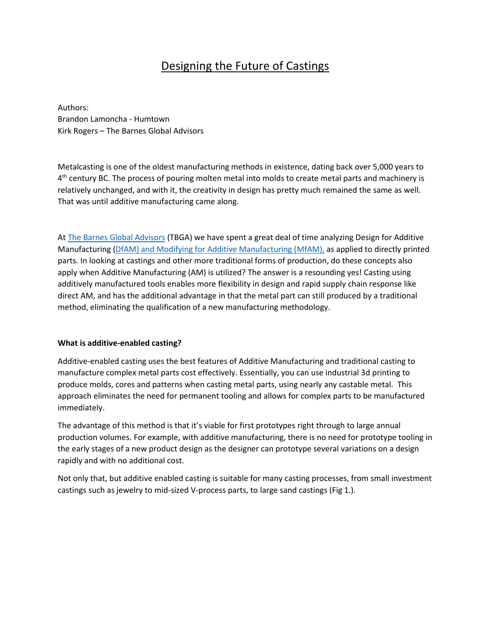## Designing the Future of Castings

Authors: Brandon Lamoncha - Humtown Kirk Rogers – The Barnes Global Advisors

Metalcasting is one of the oldest manufacturing methods in existence, dating back over 5,000 years to 4<sup>th</sup> century BC. The process of pouring molten metal into molds to create metal parts and machinery is relatively unchanged, and with it, the creativity in design has pretty much remained the same as well. That was until additive manufacturing came along.

A[t The Barnes Global Advisors](https://www.barnesglobaladvisors.com/) (TBGA) we have spent a great deal of time analyzing Design for Additive Manufacturing (DfAM) [and Modifying for Additive Manufacturing \(MfAM\)](https://3dprint.com/276336/designing-for-additive-manufacturing-dfam-mfam/), as applied to directly printed parts. In looking at castings and other more traditional forms of production, do these concepts also apply when Additive Manufacturing (AM) is utilized? The answer is a resounding yes! Casting using additively manufactured tools enables more flexibility in design and rapid supply chain response like direct AM, and has the additional advantage in that the metal part can still produced by a traditional method, eliminating the qualification of a new manufacturing methodology.

## **What is additive-enabled casting?**

Additive-enabled casting uses the best features of Additive Manufacturing and traditional casting to manufacture complex metal parts cost effectively. Essentially, you can use industrial 3d printing to produce molds, cores and patterns when casting metal parts, using nearly any castable metal. This approach eliminates the need for permanent tooling and allows for complex parts to be manufactured immediately.

The advantage of this method is that it's viable for first prototypes right through to large annual production volumes. For example, with additive manufacturing, there is no need for prototype tooling in the early stages of a new product design as the designer can prototype several variations on a design rapidly and with no additional cost.

Not only that, but additive enabled casting is suitable for many casting processes, from small investment castings such as jewelry to mid-sized V-process parts, to large sand castings (Fig 1.).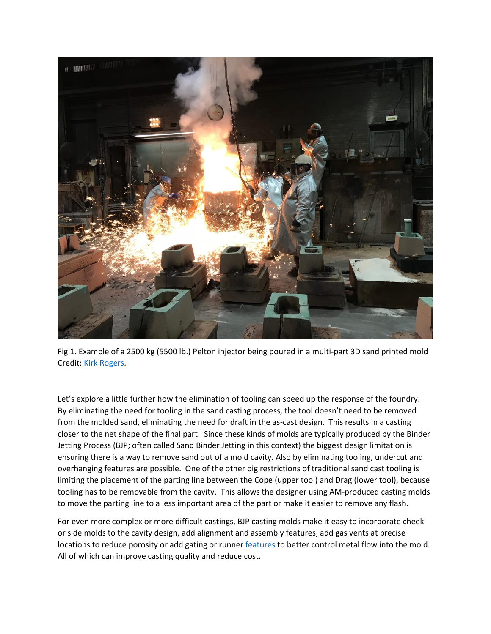

Fig 1. Example of a 2500 kg (5500 lb.) Pelton injector being poured in a multi-part 3D sand printed mold Credit[: Kirk Rogers.](https://www.linkedin.com/in/kirkarogers/)

Let's explore a little further how the elimination of tooling can speed up the response of the foundry. By eliminating the need for tooling in the sand casting process, the tool doesn't need to be removed from the molded sand, eliminating the need for draft in the as-cast design. This results in a casting closer to the net shape of the final part. Since these kinds of molds are typically produced by the Binder Jetting Process (BJP; often called Sand Binder Jetting in this context) the biggest design limitation is ensuring there is a way to remove sand out of a mold cavity. Also by eliminating tooling, undercut and overhanging features are possible. One of the other big restrictions of traditional sand cast tooling is limiting the placement of the parting line between the Cope (upper tool) and Drag (lower tool), because tooling has to be removable from the cavity. This allows the designer using AM-produced casting molds to move the parting line to a less important area of the part or make it easier to remove any flash.

For even more complex or more difficult castings, BJP casting molds make it easy to incorporate cheek or side molds to the cavity design, add alignment and assembly features, add gas vents at precise locations to reduce porosity or add gating or runner [features](https://sites.psu.edu/shapelab/projects/#sandprinting) to better control metal flow into the mold. All of which can improve casting quality and reduce cost.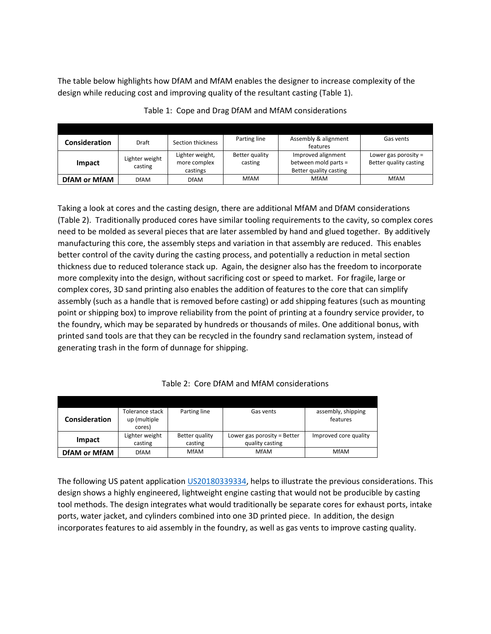The table below highlights how DfAM and MfAM enables the designer to increase complexity of the design while reducing cost and improving quality of the resultant casting (Table 1).

| <b>Consideration</b> | <b>Draft</b>              | Section thickness | Parting line   | Assembly & alignment   | Gas vents              |
|----------------------|---------------------------|-------------------|----------------|------------------------|------------------------|
|                      |                           |                   |                | features               |                        |
| Impact               | Lighter weight<br>casting | Lighter weight,   | Better quality | Improved alignment     | Lower gas porosity $=$ |
|                      |                           | more complex      | casting        | between mold parts =   | Better quality casting |
|                      |                           | castings          |                | Better quality casting |                        |
| <b>DfAM or MfAM</b>  | <b>DfAM</b>               | <b>DfAM</b>       | <b>MfAM</b>    | <b>MfAM</b>            | <b>MfAM</b>            |

|  |  |  |  | Table 1: Cope and Drag DfAM and MfAM considerations |
|--|--|--|--|-----------------------------------------------------|
|--|--|--|--|-----------------------------------------------------|

Taking a look at cores and the casting design, there are additional MfAM and DfAM considerations (Table 2). Traditionally produced cores have similar tooling requirements to the cavity, so complex cores need to be molded as several pieces that are later assembled by hand and glued together. By additively manufacturing this core, the assembly steps and variation in that assembly are reduced. This enables better control of the cavity during the casting process, and potentially a reduction in metal section thickness due to reduced tolerance stack up. Again, the designer also has the freedom to incorporate more complexity into the design, without sacrificing cost or speed to market. For fragile, large or complex cores, 3D sand printing also enables the addition of features to the core that can simplify assembly (such as a handle that is removed before casting) or add shipping features (such as mounting point or shipping box) to improve reliability from the point of printing at a foundry service provider, to the foundry, which may be separated by hundreds or thousands of miles. One additional bonus, with printed sand tools are that they can be recycled in the foundry sand reclamation system, instead of generating trash in the form of dunnage for shipping.

| Consideration       | Tolerance stack<br>up (multiple<br>cores) | Parting line              | Gas vents                                        | assembly, shipping<br>features |
|---------------------|-------------------------------------------|---------------------------|--------------------------------------------------|--------------------------------|
| Impact              | Lighter weight<br>casting                 | Better quality<br>casting | Lower gas porosity $=$ Better<br>quality casting | Improved core quality          |
| <b>DfAM or MfAM</b> | <b>DfAM</b>                               | <b>MfAM</b>               | <b>MfAM</b>                                      | <b>MfAM</b>                    |

## Table 2: Core DfAM and MfAM considerations

The following US patent application [US20180339334,](https://pdfaiw.uspto.gov/.aiw?Docid=20180339334) helps to illustrate the previous considerations. This design shows a highly engineered, lightweight engine casting that would not be producible by casting tool methods. The design integrates what would traditionally be separate cores for exhaust ports, intake ports, water jacket, and cylinders combined into one 3D printed piece. In addition, the design incorporates features to aid assembly in the foundry, as well as gas vents to improve casting quality.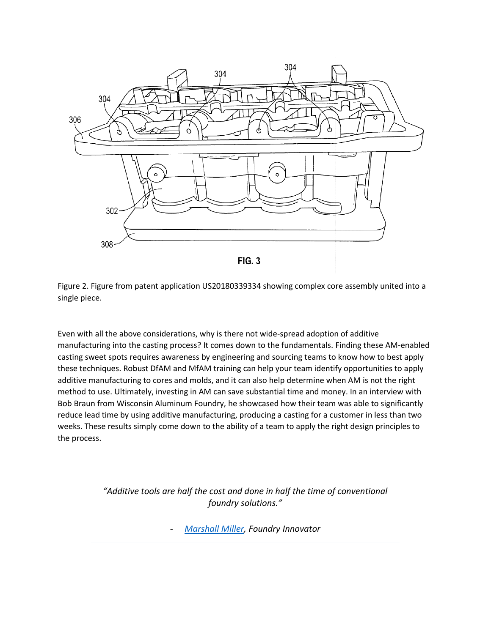

Figure 2. Figure from patent application US20180339334 showing complex core assembly united into a single piece.

Even with all the above considerations, why is there not wide-spread adoption of additive manufacturing into the casting process? It comes down to the fundamentals. Finding these AM-enabled casting sweet spots requires awareness by engineering and sourcing teams to know how to best apply these techniques. Robust DfAM and MfAM training can help your team identify opportunities to apply additive manufacturing to cores and molds, and it can also help determine when AM is not the right method to use. Ultimately, investing in AM can save substantial time and money. In an interview with Bob Braun from Wisconsin Aluminum Foundry, he showcased how their team was able to significantly reduce lead time by using additive manufacturing, producing a casting for a customer in less than two weeks. These results simply come down to the ability of a team to apply the right design principles to the process.

> *"Additive tools are half the cost and done in half the time of conventional foundry solutions."*

> > - *[Marshall Miller,](https://www.linkedin.com/in/marshall-miller-b8a4a414/) Foundry Innovator*